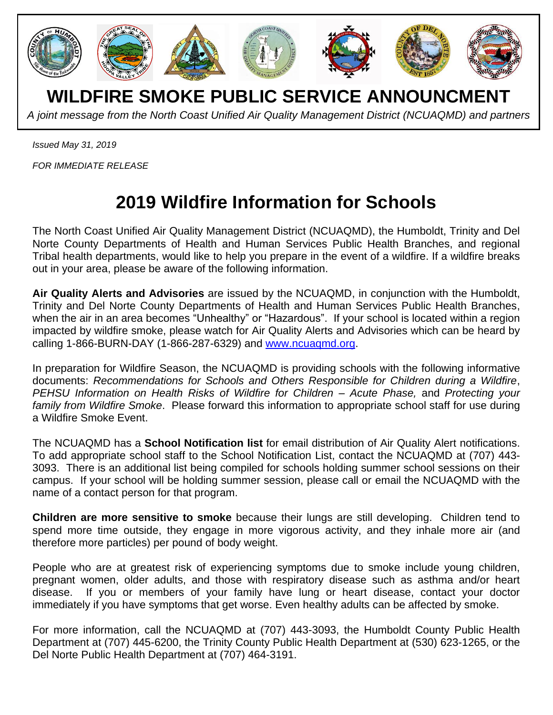

**WILDFIRE SMOKE PUBLIC SERVICE ANNOUNCMENT**

*A joint message from the North Coast Unified Air Quality Management District (NCUAQMD) and partners*

*Issued May 31, 2019*

*FOR IMMEDIATE RELEASE*

## **2019 Wildfire Information for Schools**

The North Coast Unified Air Quality Management District (NCUAQMD), the Humboldt, Trinity and Del Norte County Departments of Health and Human Services Public Health Branches, and regional Tribal health departments, would like to help you prepare in the event of a wildfire. If a wildfire breaks out in your area, please be aware of the following information.

**Air Quality Alerts and Advisories** are issued by the NCUAQMD, in conjunction with the Humboldt, Trinity and Del Norte County Departments of Health and Human Services Public Health Branches, when the air in an area becomes "Unhealthy" or "Hazardous". If your school is located within a region impacted by wildfire smoke, please watch for Air Quality Alerts and Advisories which can be heard by calling 1-866-BURN-DAY (1-866-287-6329) and [www.ncuaqmd.org.](http://www.ncuaqmd.org/)

In preparation for Wildfire Season, the NCUAQMD is providing schools with the following informative documents: *Recommendations for Schools and Others Responsible for Children during a Wildfire*, *PEHSU Information on Health Risks of Wildfire for Children – Acute Phase,* and *Protecting your family from Wildfire Smoke*. Please forward this information to appropriate school staff for use during a Wildfire Smoke Event.

The NCUAQMD has a **School Notification list** for email distribution of Air Quality Alert notifications. To add appropriate school staff to the School Notification List, contact the NCUAQMD at (707) 443- 3093. There is an additional list being compiled for schools holding summer school sessions on their campus. If your school will be holding summer session, please call or email the NCUAQMD with the name of a contact person for that program.

**Children are more sensitive to smoke** because their lungs are still developing. Children tend to spend more time outside, they engage in more vigorous activity, and they inhale more air (and therefore more particles) per pound of body weight.

People who are at greatest risk of experiencing symptoms due to smoke include young children, pregnant women, older adults, and those with respiratory disease such as asthma and/or heart disease. If you or members of your family have lung or heart disease, contact your doctor immediately if you have symptoms that get worse. Even healthy adults can be affected by smoke.

For more information, call the NCUAQMD at (707) 443-3093, the Humboldt County Public Health Department at (707) 445-6200, the Trinity County Public Health Department at (530) 623-1265, or the Del Norte Public Health Department at (707) 464-3191.